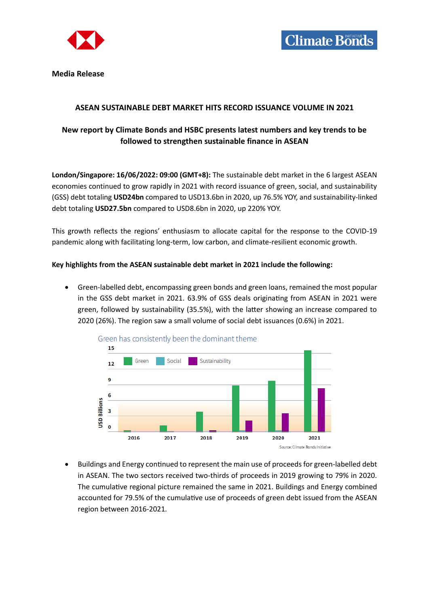

**Media Release**

## **ASEAN SUSTAINABLE DEBT MARKET HITS RECORD ISSUANCE VOLUME IN 2021**

# **New report by Climate Bonds and HSBC presents latest numbers and key trends to be followed to strengthen sustainable finance in ASEAN**

**London/Singapore: 16/06/2022: 09:00 (GMT+8):** The sustainable debt market in the 6 largest ASEAN economies continued to grow rapidly in 2021 with record issuance of green, social, and sustainability (GSS) debt totaling **USD24bn** compared to USD13.6bn in 2020, up 76.5% YOY, and sustainability-linked debt totaling **USD27.5bn** compared to USD8.6bn in 2020, up 220% YOY.

This growth reflects the regions' enthusiasm to allocate capital for the response to the COVID-19 pandemic along with facilitating long-term, low carbon, and climate-resilient economic growth.

## **Key highlights from the ASEAN sustainable debt market in 2021 include the following:**

 Green-labelled debt, encompassing green bonds and green loans, remained the most popular in the GSS debt market in 2021. 63.9% of GSS deals originating from ASEAN in 2021 were green, followed by sustainability (35.5%), with the latter showing an increase compared to 2020 (26%). The region saw a small volume of social debt issuances (0.6%) in 2021.



 Buildings and Energy continued to represent the main use of proceeds for green-labelled debt in ASEAN. The two sectors received two-thirds of proceeds in 2019 growing to 79% in 2020. The cumulative regional picture remained the same in 2021. Buildings and Energy combined accounted for 79.5% of the cumulative use of proceeds of green debt issued from the ASEAN region between 2016-2021.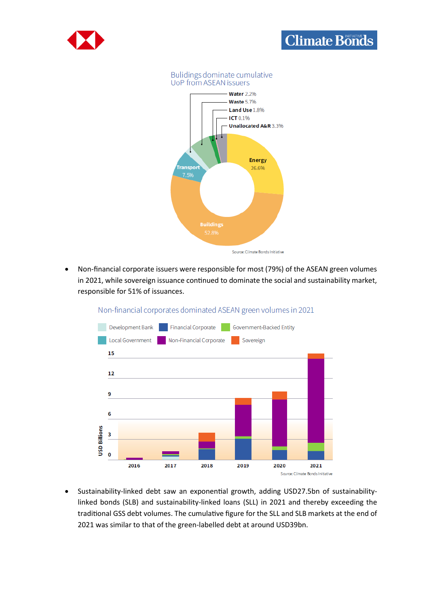

# **Climate Bonds**





 Non-financial corporate issuers were responsible for most (79%) of the ASEAN green volumes in 2021, while sovereign issuance continued to dominate the social and sustainability market, responsible for 51% of issuances.



### Non-financial corporates dominated ASEAN green volumes in 2021

 Sustainability-linked debt saw an exponential growth, adding USD27.5bn of sustainabilitylinked bonds (SLB) and sustainability-linked loans (SLL) in 2021 and thereby exceeding the traditional GSS debt volumes. The cumulative figure for the SLL and SLB markets at the end of 2021 was similar to that of the green-labelled debt at around USD39bn.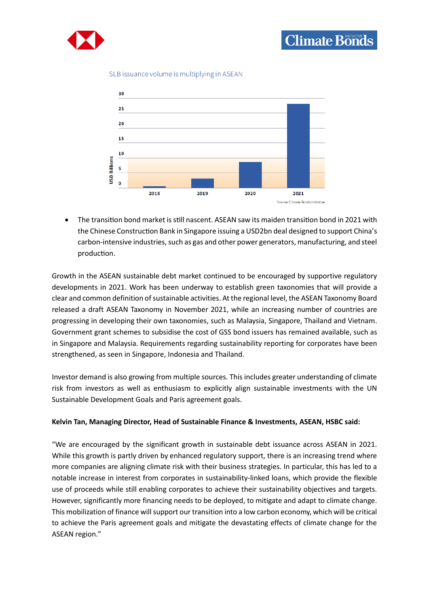



#### SLB issuance volume is multiplying in ASEAN



 The transition bond market is still nascent. ASEAN saw its maiden transition bond in 2021 with the Chinese Construction Bank in Singapore issuing a USD2bn deal designed to support China's carbon-intensive industries, such as gas and other power generators, manufacturing, and steel production.

Growth in the ASEAN sustainable debt market continued to be encouraged by supportive regulatory developments in 2021. Work has been underway to establish green taxonomies that will provide a clear and common definition of sustainable activities. At the regional level, the ASEAN Taxonomy Board released a draft ASEAN Taxonomy in November 2021, while an increasing number of countries are progressing in developing their own taxonomies, such as Malaysia, Singapore, Thailand and Vietnam. Government grant schemes to subsidise the cost of GSS bond issuers has remained available, such as in Singapore and Malaysia. Requirements regarding sustainability reporting for corporates have been strengthened, as seen in Singapore, Indonesia and Thailand.

Investor demand is also growing from multiple sources. This includes greater understanding of climate risk from investors as well as enthusiasm to explicitly align sustainable investments with the UN Sustainable Development Goals and Paris agreement goals.

#### **Kelvin Tan, Managing Director, Head of Sustainable Finance & Investments, ASEAN, HSBC said:**

"We are encouraged by the significant growth in sustainable debt issuance across ASEAN in 2021. While this growth is partly driven by enhanced regulatory support, there is an increasing trend where more companies are aligning climate risk with their business strategies. In particular, this has led to a notable increase in interest from corporates in sustainability-linked loans, which provide the flexible use of proceeds while still enabling corporates to achieve their sustainability objectives and targets. However, significantly more financing needs to be deployed, to mitigate and adapt to climate change. This mobilization of finance will support our transition into a low carbon economy, which will be critical to achieve the Paris agreement goals and mitigate the devastating effects of climate change for the ASEAN region."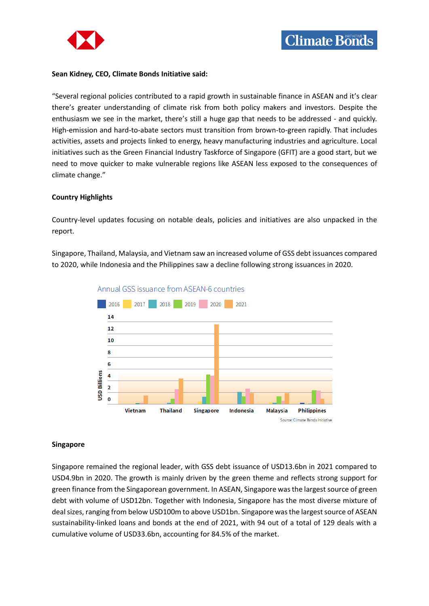

#### **Sean Kidney, CEO, Climate Bonds Initiative said:**

"Several regional policies contributed to a rapid growth in sustainable finance in ASEAN and it's clear there's greater understanding of climate risk from both policy makers and investors. Despite the enthusiasm we see in the market, there's still a huge gap that needs to be addressed - and quickly. High-emission and hard-to-abate sectors must transition from brown-to-green rapidly. That includes activities, assets and projects linked to energy, heavy manufacturing industries and agriculture. Local initiatives such as the Green Financial Industry Taskforce of Singapore (GFIT) are a good start, but we need to move quicker to make vulnerable regions like ASEAN less exposed to the consequences of climate change."

#### **Country Highlights**

Country-level updates focusing on notable deals, policies and initiatives are also unpacked in the report.

Singapore, Thailand, Malaysia, and Vietnam saw an increased volume of GSS debt issuances compared to 2020, while Indonesia and the Philippines saw a decline following strong issuances in 2020.



Annual GSS issuance from ASEAN-6 countries

#### **Singapore**

Singapore remained the regional leader, with GSS debt issuance of USD13.6bn in 2021 compared to USD4.9bn in 2020. The growth is mainly driven by the green theme and reflects strong support for green finance from the Singaporean government. In ASEAN, Singapore was the largest source of green debt with volume of USD12bn. Together with Indonesia, Singapore has the most diverse mixture of deal sizes, ranging from below USD100m to above USD1bn. Singapore was the largest source of ASEAN sustainability-linked loans and bonds at the end of 2021, with 94 out of a total of 129 deals with a cumulative volume of USD33.6bn, accounting for 84.5% of the market.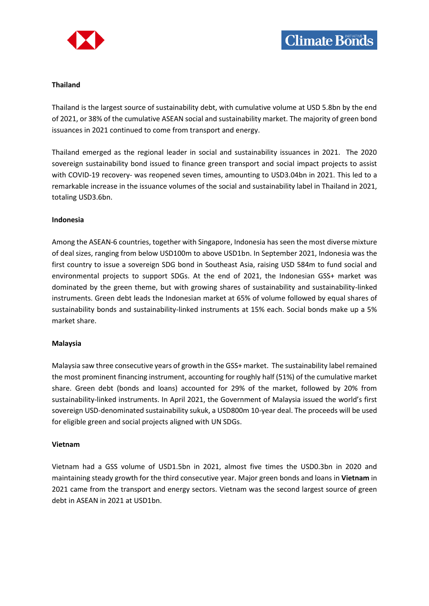



#### **Thailand**

Thailand is the largest source of sustainability debt, with cumulative volume at USD 5.8bn by the end of 2021, or 38% of the cumulative ASEAN social and sustainability market. The majority of green bond issuances in 2021 continued to come from transport and energy.

Thailand emerged as the regional leader in social and sustainability issuances in 2021. The 2020 sovereign sustainability bond issued to finance green transport and social impact projects to assist with COVID-19 recovery- was reopened seven times, amounting to USD3.04bn in 2021. This led to a remarkable increase in the issuance volumes of the social and sustainability label in Thailand in 2021, totaling USD3.6bn.

#### **Indonesia**

Among the ASEAN-6 countries, together with Singapore, Indonesia has seen the most diverse mixture of deal sizes, ranging from below USD100m to above USD1bn. In September 2021, Indonesia was the first country to issue a sovereign SDG bond in Southeast Asia, raising USD 584m to fund social and environmental projects to support SDGs. At the end of 2021, the Indonesian GSS+ market was dominated by the green theme, but with growing shares of sustainability and sustainability-linked instruments. Green debt leads the Indonesian market at 65% of volume followed by equal shares of sustainability bonds and sustainability-linked instruments at 15% each. Social bonds make up a 5% market share.

#### **Malaysia**

Malaysia saw three consecutive years of growth in the GSS+ market. The sustainability label remained the most prominent financing instrument, accounting for roughly half (51%) of the cumulative market share. Green debt (bonds and loans) accounted for 29% of the market, followed by 20% from sustainability-linked instruments. In April 2021, the Government of Malaysia issued the world's first sovereign USD-denominated sustainability sukuk, a USD800m 10-year deal. The proceeds will be used for eligible green and social projects aligned with UN SDGs.

#### **Vietnam**

Vietnam had a GSS volume of USD1.5bn in 2021, almost five times the USD0.3bn in 2020 and maintaining steady growth for the third consecutive year. Major green bonds and loans in **Vietnam** in 2021 came from the transport and energy sectors. Vietnam was the second largest source of green debt in ASEAN in 2021 at USD1bn.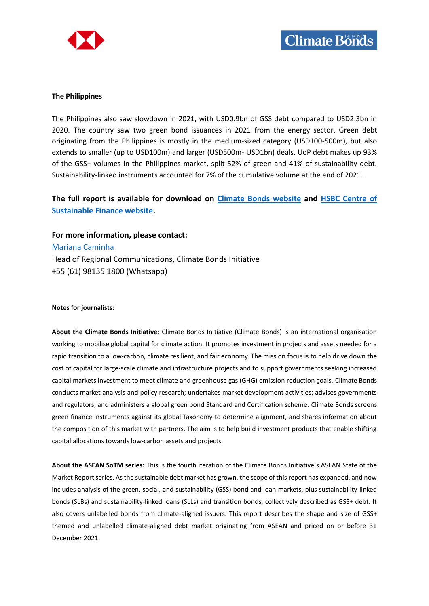

#### **The Philippines**

The Philippines also saw slowdown in 2021, with USD0.9bn of GSS debt compared to USD2.3bn in 2020. The country saw two green bond issuances in 2021 from the energy sector. Green debt originating from the Philippines is mostly in the medium-sized category (USD100-500m), but also extends to smaller (up to USD100m) and larger (USD500m- USD1bn) deals. UoP debt makes up 93% of the GSS+ volumes in the Philippines market, split 52% of green and 41% of sustainability debt. Sustainability-linked instruments accounted for 7% of the cumulative volume at the end of 2021.

# **The full report is available for download on [Climate Bonds website](https://www.climatebonds.net/resources/reports/asean-sustainable-debt-market-2021) and [HSBC Centre of](https://www.sustainablefinance.hsbc.com/)  [Sustainable Finance website.](https://www.sustainablefinance.hsbc.com/)**

**For more information, please contact:**

[Mariana Caminha](mailto:mariana.caminha@climatebonds.net)

Head of Regional Communications, Climate Bonds Initiative +55 (61) 98135 1800 (Whatsapp)

#### **Notes for journalists:**

**About the Climate Bonds Initiative:** Climate Bonds Initiative (Climate Bonds) is an international organisation working to mobilise global capital for climate action. It promotes investment in projects and assets needed for a rapid transition to a low-carbon, climate resilient, and fair economy. The mission focus is to help drive down the cost of capital for large-scale climate and infrastructure projects and to support governments seeking increased capital markets investment to meet climate and greenhouse gas (GHG) emission reduction goals. Climate Bonds conducts market analysis and policy research; undertakes market development activities; advises governments and regulators; and administers a global green bond Standard and Certification scheme. Climate Bonds screens green finance instruments against its global Taxonomy to determine alignment, and shares information about the composition of this market with partners. The aim is to help build investment products that enable shifting capital allocations towards low-carbon assets and projects.

**About the ASEAN SoTM series:** This is the fourth iteration of the Climate Bonds Initiative's ASEAN State of the Market Report series. As the sustainable debt market has grown, the scope of this report has expanded, and now includes analysis of the green, social, and sustainability (GSS) bond and loan markets, plus sustainability-linked bonds (SLBs) and sustainability-linked loans (SLLs) and transition bonds, collectively described as GSS+ debt. It also covers unlabelled bonds from climate-aligned issuers. This report describes the shape and size of GSS+ themed and unlabelled climate-aligned debt market originating from ASEAN and priced on or before 31 December 2021.